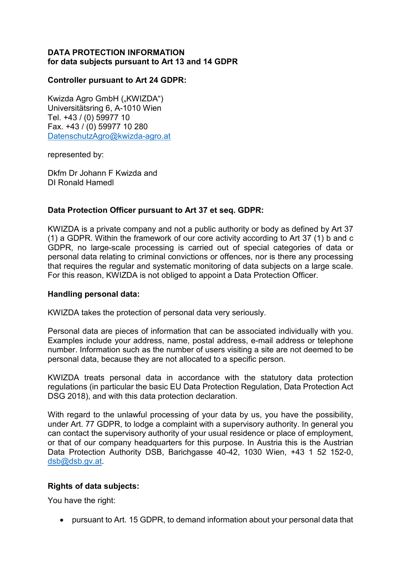## **DATA PROTECTION INFORMATION for data subjects pursuant to Art 13 and 14 GDPR**

### **Controller pursuant to Art 24 GDPR:**

Kwizda Agro GmbH ("KWIZDA") Universitätsring 6, A-1010 Wien Tel. +43 / (0) 59977 10 Fax. +43 / (0) 59977 10 280 [DatenschutzAgro@kwizda-agro.at](mailto:DatenschutzAgro@kwizda-agro.at)

represented by:

Dkfm Dr Johann F Kwizda and DI Ronald Hamedl

### **Data Protection Officer pursuant to Art 37 et seq. GDPR:**

KWIZDA is a private company and not a public authority or body as defined by Art 37 (1) a GDPR. Within the framework of our core activity according to Art 37 (1) b and c GDPR, no large-scale processing is carried out of special categories of data or personal data relating to criminal convictions or offences, nor is there any processing that requires the regular and systematic monitoring of data subjects on a large scale. For this reason, KWIZDA is not obliged to appoint a Data Protection Officer.

### **Handling personal data:**

KWIZDA takes the protection of personal data very seriously.

Personal data are pieces of information that can be associated individually with you. Examples include your address, name, postal address, e-mail address or telephone number. Information such as the number of users visiting a site are not deemed to be personal data, because they are not allocated to a specific person.

KWIZDA treats personal data in accordance with the statutory data protection regulations (in particular the basic EU Data Protection Regulation, Data Protection Act DSG 2018), and with this data protection declaration.

With regard to the unlawful processing of your data by us, you have the possibility, under Art. 77 GDPR, to lodge a complaint with a supervisory authority. In general you can contact the supervisory authority of your usual residence or place of employment, or that of our company headquarters for this purpose. In Austria this is the Austrian Data Protection Authority DSB, Barichgasse 40-42, 1030 Wien, +43 1 52 152-0, [dsb@dsb.gv.at.](mailto:dsb@dsb.gv.at)

### **Rights of data subjects:**

You have the right:

• pursuant to Art. 15 GDPR, to demand information about your personal data that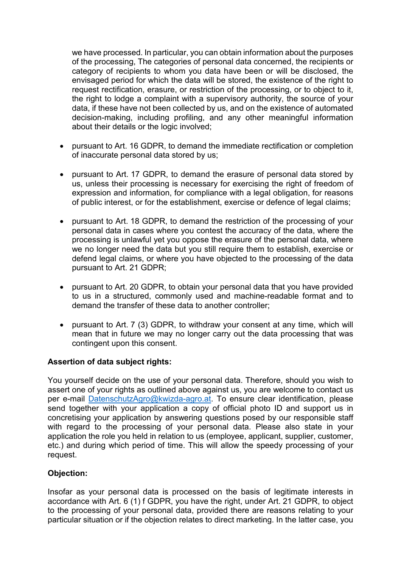we have processed. In particular, you can obtain information about the purposes of the processing, The categories of personal data concerned, the recipients or category of recipients to whom you data have been or will be disclosed, the envisaged period for which the data will be stored, the existence of the right to request rectification, erasure, or restriction of the processing, or to object to it, the right to lodge a complaint with a supervisory authority, the source of your data, if these have not been collected by us, and on the existence of automated decision-making, including profiling, and any other meaningful information about their details or the logic involved;

- pursuant to Art. 16 GDPR, to demand the immediate rectification or completion of inaccurate personal data stored by us;
- pursuant to Art. 17 GDPR, to demand the erasure of personal data stored by us, unless their processing is necessary for exercising the right of freedom of expression and information, for compliance with a legal obligation, for reasons of public interest, or for the establishment, exercise or defence of legal claims;
- pursuant to Art. 18 GDPR, to demand the restriction of the processing of your personal data in cases where you contest the accuracy of the data, where the processing is unlawful yet you oppose the erasure of the personal data, where we no longer need the data but you still require them to establish, exercise or defend legal claims, or where you have objected to the processing of the data pursuant to Art. 21 GDPR;
- pursuant to Art. 20 GDPR, to obtain your personal data that you have provided to us in a structured, commonly used and machine-readable format and to demand the transfer of these data to another controller;
- pursuant to Art. 7 (3) GDPR, to withdraw your consent at any time, which will mean that in future we may no longer carry out the data processing that was contingent upon this consent.

### **Assertion of data subject rights:**

You yourself decide on the use of your personal data. Therefore, should you wish to assert one of your rights as outlined above against us, you are welcome to contact us per e-mail [DatenschutzAgro@kwizda-agro.at.](mailto:DatenschutzAgro@kwizda-agro.at) To ensure clear identification, please send together with your application a copy of official photo ID and support us in concretising your application by answering questions posed by our responsible staff with regard to the processing of your personal data. Please also state in your application the role you held in relation to us (employee, applicant, supplier, customer, etc.) and during which period of time. This will allow the speedy processing of your request.

# **Objection:**

Insofar as your personal data is processed on the basis of legitimate interests in accordance with Art. 6 (1) f GDPR, you have the right, under Art. 21 GDPR, to object to the processing of your personal data, provided there are reasons relating to your particular situation or if the objection relates to direct marketing. In the latter case, you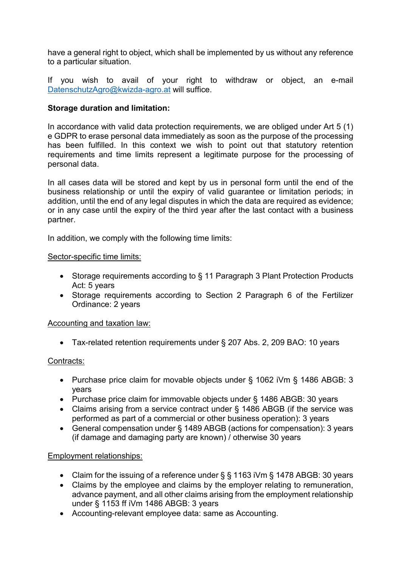have a general right to object, which shall be implemented by us without any reference to a particular situation.

If you wish to avail of your right to withdraw or object, an e-mail [DatenschutzAgro@kwizda-agro.at](mailto:DatenschutzAgro@kwizda-agro.at) will suffice.

## **Storage duration and limitation:**

In accordance with valid data protection requirements, we are obliged under Art 5 (1) e GDPR to erase personal data immediately as soon as the purpose of the processing has been fulfilled. In this context we wish to point out that statutory retention requirements and time limits represent a legitimate purpose for the processing of personal data.

In all cases data will be stored and kept by us in personal form until the end of the business relationship or until the expiry of valid guarantee or limitation periods; in addition, until the end of any legal disputes in which the data are required as evidence; or in any case until the expiry of the third year after the last contact with a business partner.

In addition, we comply with the following time limits:

### Sector-specific time limits:

- Storage requirements according to § 11 Paragraph 3 Plant Protection Products Act: 5 years
- Storage requirements according to Section 2 Paragraph 6 of the Fertilizer Ordinance: 2 years

### Accounting and taxation law:

• Tax-related retention requirements under § 207 Abs. 2, 209 BAO: 10 years

# Contracts:

- Purchase price claim for movable objects under § 1062 iVm § 1486 ABGB: 3 years
- Purchase price claim for immovable objects under § 1486 ABGB: 30 years
- Claims arising from a service contract under § 1486 ABGB (if the service was performed as part of a commercial or other business operation): 3 years
- General compensation under § 1489 ABGB (actions for compensation): 3 years (if damage and damaging party are known) / otherwise 30 years

# Employment relationships:

- Claim for the issuing of a reference under § § 1163 iVm § 1478 ABGB: 30 years
- Claims by the employee and claims by the employer relating to remuneration, advance payment, and all other claims arising from the employment relationship under § 1153 ff iVm 1486 ABGB: 3 years
- Accounting-relevant employee data: same as Accounting.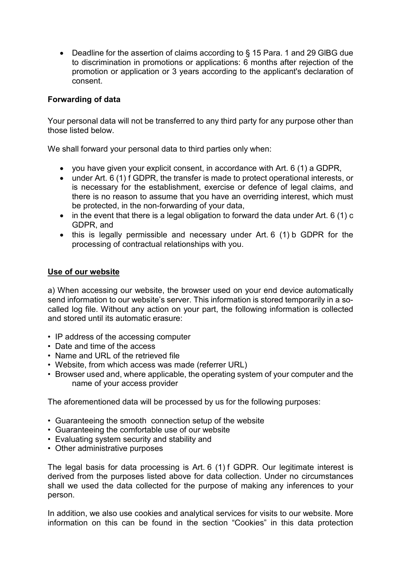• Deadline for the assertion of claims according to § 15 Para. 1 and 29 GIBG due to discrimination in promotions or applications: 6 months after rejection of the promotion or application or 3 years according to the applicant's declaration of consent.

## **Forwarding of data**

Your personal data will not be transferred to any third party for any purpose other than those listed below.

We shall forward your personal data to third parties only when:

- you have given your explicit consent, in accordance with Art. 6 (1) a GDPR,
- under Art. 6 (1) f GDPR, the transfer is made to protect operational interests, or is necessary for the establishment, exercise or defence of legal claims, and there is no reason to assume that you have an overriding interest, which must be protected, in the non-forwarding of your data,
- in the event that there is a legal obligation to forward the data under Art. 6 (1)  $c$ GDPR, and
- this is legally permissible and necessary under Art. 6 (1) b GDPR for the processing of contractual relationships with you.

### **Use of our website**

a) When accessing our website, the browser used on your end device automatically send information to our website's server. This information is stored temporarily in a socalled log file. Without any action on your part, the following information is collected and stored until its automatic erasure:

- IP address of the accessing computer
- Date and time of the access
- Name and URL of the retrieved file
- Website, from which access was made (referrer URL)
- Browser used and, where applicable, the operating system of your computer and the name of your access provider

The aforementioned data will be processed by us for the following purposes:

- Guaranteeing the smooth connection setup of the website
- Guaranteeing the comfortable use of our website
- Evaluating system security and stability and
- Other administrative purposes

The legal basis for data processing is Art. 6 (1) f GDPR. Our legitimate interest is derived from the purposes listed above for data collection. Under no circumstances shall we used the data collected for the purpose of making any inferences to your person.

In addition, we also use cookies and analytical services for visits to our website. More information on this can be found in the section "Cookies" in this data protection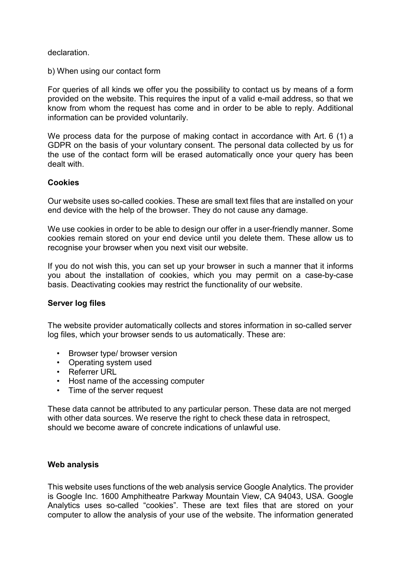#### declaration.

b) When using our contact form

For queries of all kinds we offer you the possibility to contact us by means of a form provided on the website. This requires the input of a valid e-mail address, so that we know from whom the request has come and in order to be able to reply. Additional information can be provided voluntarily.

We process data for the purpose of making contact in accordance with Art. 6 (1) a GDPR on the basis of your voluntary consent. The personal data collected by us for the use of the contact form will be erased automatically once your query has been dealt with.

### **Cookies**

Our website uses so-called cookies. These are small text files that are installed on your end device with the help of the browser. They do not cause any damage.

We use cookies in order to be able to design our offer in a user-friendly manner. Some cookies remain stored on your end device until you delete them. These allow us to recognise your browser when you next visit our website.

If you do not wish this, you can set up your browser in such a manner that it informs you about the installation of cookies, which you may permit on a case-by-case basis. Deactivating cookies may restrict the functionality of our website.

### **Server log files**

The website provider automatically collects and stores information in so-called server log files, which your browser sends to us automatically. These are:

- Browser type/ browser version
- Operating system used
- Referrer URL
- Host name of the accessing computer
- Time of the server request

These data cannot be attributed to any particular person. These data are not merged with other data sources. We reserve the right to check these data in retrospect, should we become aware of concrete indications of unlawful use.

#### **Web analysis**

This website uses functions of the web analysis service Google Analytics. The provider is Google Inc. 1600 Amphitheatre Parkway Mountain View, CA 94043, USA. Google Analytics uses so-called "cookies". These are text files that are stored on your computer to allow the analysis of your use of the website. The information generated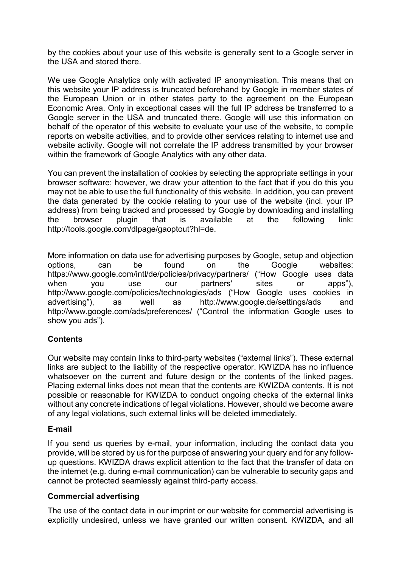by the cookies about your use of this website is generally sent to a Google server in the USA and stored there.

We use Google Analytics only with activated IP anonymisation. This means that on this website your IP address is truncated beforehand by Google in member states of the European Union or in other states party to the agreement on the European Economic Area. Only in exceptional cases will the full IP address be transferred to a Google server in the USA and truncated there. Google will use this information on behalf of the operator of this website to evaluate your use of the website, to compile reports on website activities, and to provide other services relating to internet use and website activity. Google will not correlate the IP address transmitted by your browser within the framework of Google Analytics with any other data.

You can prevent the installation of cookies by selecting the appropriate settings in your browser software; however, we draw your attention to the fact that if you do this you may not be able to use the full functionality of this website. In addition, you can prevent the data generated by the cookie relating to your use of the website (incl. your IP address) from being tracked and processed by Google by downloading and installing the browser plugin that is available at the following link: [http://tools.google.com/dlpage/gaoptout?hl=de.](http://tools.google.com/dlpage/gaoptout?hl=de)

More information on data use for advertising purposes by Google, setup and objection options, can be found on the Google websites: https://www.google.com/intl/de/policies/privacy/partners/ ("How Google uses data when you use our partners' sites or apps"), http://www.google.com/policies/technologies/ads ("How Google uses cookies in advertising"), as well as http://www.google.de/settings/ads and http://www.google.com/ads/preferences/ ("Control the information Google uses to show you ads").

# **Contents**

Our website may contain links to third-party websites ("external links"). These external links are subject to the liability of the respective operator. KWIZDA has no influence whatsoever on the current and future design or the contents of the linked pages. Placing external links does not mean that the contents are KWIZDA contents. It is not possible or reasonable for KWIZDA to conduct ongoing checks of the external links without any concrete indications of legal violations. However, should we become aware of any legal violations, such external links will be deleted immediately.

# **E-mail**

If you send us queries by e-mail, your information, including the contact data you provide, will be stored by us for the purpose of answering your query and for any followup questions. KWIZDA draws explicit attention to the fact that the transfer of data on the internet (e.g. during e-mail communication) can be vulnerable to security gaps and cannot be protected seamlessly against third-party access.

# **Commercial advertising**

The use of the contact data in our imprint or our website for commercial advertising is explicitly undesired, unless we have granted our written consent. KWIZDA, and all